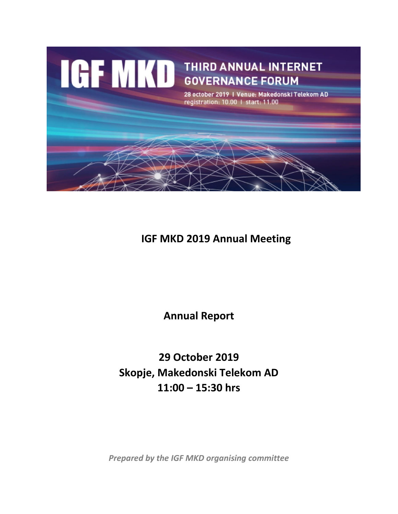

# **IGF MKD 2019 Annual Meeting**

**Annual Report**

**29 October 2019 Skopje, Makedonski Telekom AD 11:00 – 15:30 hrs**

*Prepared by the IGF MKD organising committee*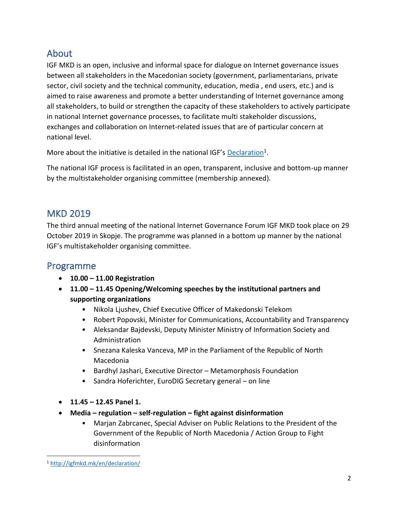# About

IGF MKD is an open, inclusive and informal space for dialogue on Internet governance issues between all stakeholders in the Macedonian society (government, parliamentarians, private sector, civil society and the technical community, education, media , end users, etc.) and is aimed to raise awareness and promote a better understanding of Internet governance among all stakeholders, to build or strengthen the capacity of these stakeholders to actively participate in national Internet governance processes, to facilitate multi stakeholder discussions, exchanges and collaboration on Internet-related issues that are of particular concern at national level.

More about the initiative is detailed in the national IGF's **[Declaration](http://igfmkd.mk/en/declaration/)**<sup>1</sup>.

The national IGF process is facilitated in an open, transparent, inclusive and bottom-up manner by the multistakeholder organising committee (membership annexed).

## MKD 2019

The third annual meeting of the national Internet Governance Forum IGF MKD took place on 29 October 2019 in Skopje. The programme was planned in a bottom up manner by the national IGF's multistakeholder organising committee.

### Programme

- **10.00 – 11.00 Registration**
- **11.00 – 11.45 Opening/Welcoming speeches by the institutional partners and supporting organizations**
	- Nikola Ljushev, Chief Executive Officer of Makedonski Telekom
	- Robert Popovski, Minister for Communications, Accountability and Transparency
	- Aleksandar Bajdevski, Deputy Minister Ministry of Information Society and Administration
	- Snezana Kaleska Vanceva, MP in the Parliament of the Republic of North Macedonia
	- Bardhyl Jashari, Executive Director Metamorphosis Foundation
	- Sandra Hoferichter, EuroDIG Secretary general on line
- **11.45 – 12.45 Panel 1.**
- **Media – regulation – self-regulation – fight against disinformation**
	- Marjan Zabrcanec, Special Adviser on Public Relations to the President of the Government of the Republic of North Macedonia / Action Group to Fight disinformation

<sup>1</sup> <http://igfmkd.mk/en/declaration/>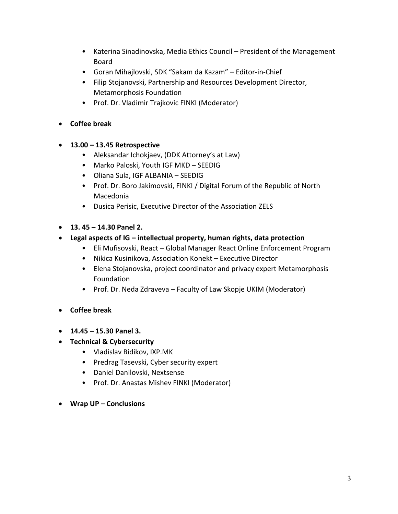- Katerina Sinadinovska, Media Ethics Council President of the Management Board
- Goran Mihajlovski, SDK "Sakam da Kazam" Editor-in-Chief
- Filip Stojanovski, Partnership and Resources Development Director, Metamorphosis Foundation
- Prof. Dr. Vladimir Trajkovic FINKI (Moderator)
- **Coffee break**
- **13.00 – 13.45 Retrospective**
	- Aleksandar Ichokjaev, (DDK Attorney's at Law)
	- Marko Paloski, Youth IGF MKD SEEDIG
	- Oliana Sula, IGF ALBANIA SEEDIG
	- Prof. Dr. Boro Jakimovski, FINKI / Digital Forum of the Republic of North Macedonia
	- Dusica Perisic, Executive Director of the Association ZELS
- **13. 45 – 14.30 Panel 2.**
- **Legal aspects of IG – intellectual property, human rights, data protection**
	- Eli Mufisovski, React Global Manager React Online Enforcement Program
	- Nikica Kusinikova, Association Konekt Executive Director
	- Elena Stojanovska, project coordinator and privacy expert Metamorphosis Foundation
	- Prof. Dr. Neda Zdraveva Faculty of Law Skopje UKIM (Moderator)
- **Coffee break**
- **14.45 – 15.30 Panel 3.**
- **Technical & Cybersecurity**
	- Vladislav Bidikov, IXP.MK
	- Predrag Tasevski, Cyber security expert
	- Daniel Danilovski, Nextsense
	- Prof. Dr. Anastas Mishev FINKI (Moderator)
- **Wrap UP – Conclusions**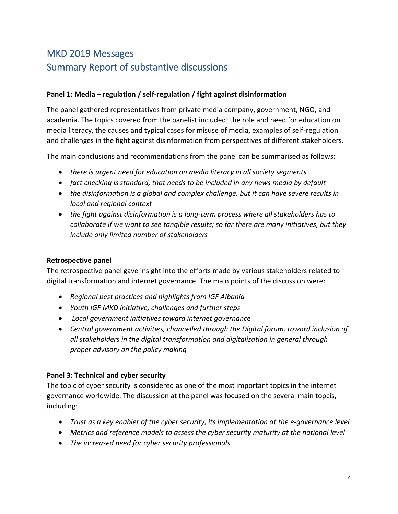# MKD 2019 Messages Summary Report of substantive discussions

#### **Panel 1: Media – regulation / self-regulation / fight against disinformation**

The panel gathered representatives from private media company, government, NGO, and academia. The topics covered from the panelist included: the role and need for education on media literacy, the causes and typical cases for misuse of media, examples of self-regulation and challenges in the fight against disinformation from perspectives of different stakeholders.

The main conclusions and recommendations from the panel can be summarised as follows:

- *there is urgent need for education on media literacy in all society segments*
- *fact checking is standard, that needs to be included in any news media by default*
- *the disinformation is a global and complex challenge, but it can have severe results in local and regional context*
- *the fight against disinformation is a long-term process where all stakeholders has to collaborate if we want to see tangible results; so far there are many initiatives, but they include only limited number of stakeholders*

#### **Retrospective panel**

The retrospective panel gave insight into the efforts made by various stakeholders related to digital transformation and internet governance. The main points of the discussion were:

- *Regional best practices and highlights from IGF Albania*
- *Youth IGF MKD initiative, challenges and further steps*
- *Local government initiatives toward internet governance*
- *Central government activities, channelled through the Digital forum, toward inclusion of all stakeholders in the digital transformation and digitalization in general through proper advisory on the policy making*

#### **Panel 3: Technical and cyber security**

The topic of cyber security is considered as one of the most important topics in the internet governance worldwide. The discussion at the panel was focused on the several main topcis, including:

- *Trust as a key enabler of the cyber security, its implementation at the e-governance level*
- *Metrics and reference models to assess the cyber security maturity at the national level*
- *The increased need for cyber security professionals*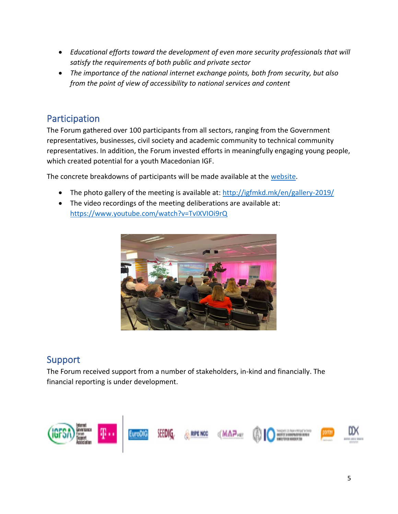- *Educational efforts toward the development of even more security professionals that will satisfy the requirements of both public and private sector*
- *The importance of the national internet exchange points, both from security, but also from the point of view of accessibility to national services and content*

# Participation

The Forum gathered over 100 participants from all sectors, ranging from the Government representatives, businesses, civil society and academic community to technical community representatives. In addition, the Forum invested efforts in meaningfully engaging young people, which created potential for a youth Macedonian IGF.

The concrete breakdowns of participants will be made available at the [website.](http://igfmkd.mk/)

- The photo gallery of the meeting is available at:<http://igfmkd.mk/en/gallery-2019/>
- The video recordings of the meeting deliberations are available at: <https://www.youtube.com/watch?v=TvIXVIOi9rQ>



## Support

The Forum received support from a number of stakeholders, in-kind and financially. The financial reporting is under development.